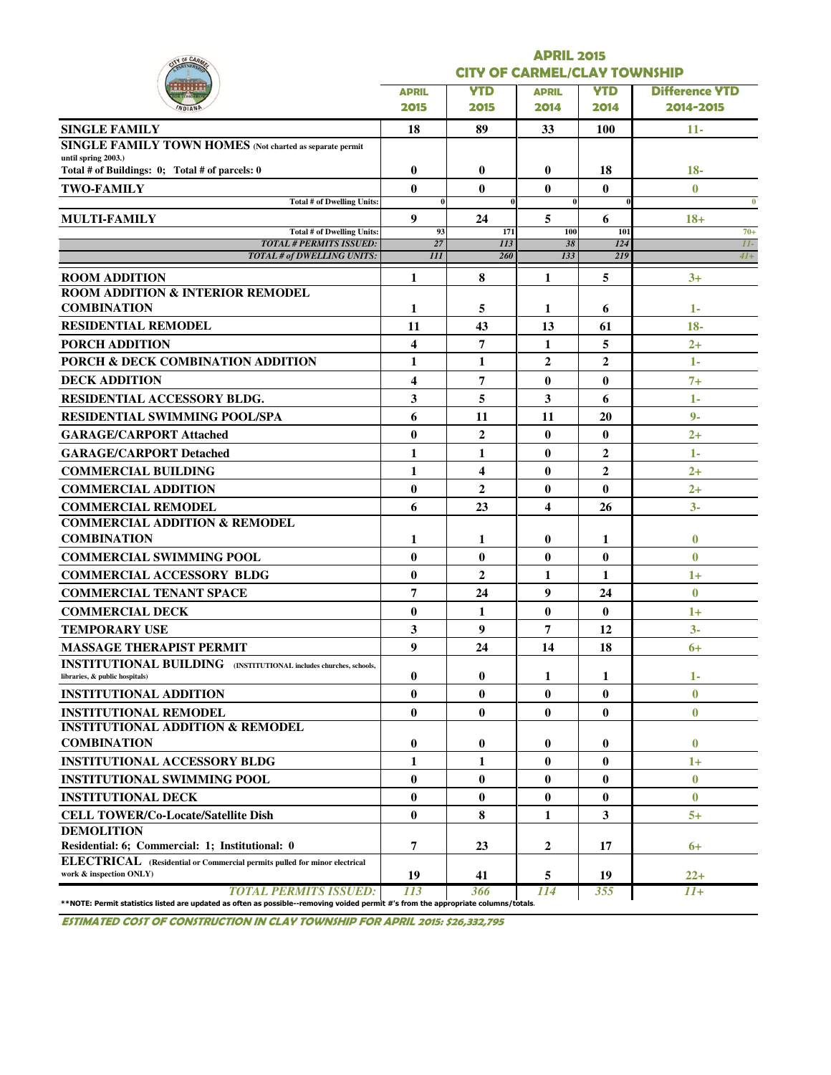| IN OF CAR                                                                                                  | <b>APRIL 2015</b>       |                                     |              |                  |                       |  |  |  |  |
|------------------------------------------------------------------------------------------------------------|-------------------------|-------------------------------------|--------------|------------------|-----------------------|--|--|--|--|
|                                                                                                            |                         | <b>CITY OF CARMEL/CLAY TOWNSHIP</b> |              |                  |                       |  |  |  |  |
|                                                                                                            | <b>APRIL</b>            | <b>YTD</b>                          | <b>APRIL</b> | <b>YTD</b>       | <b>Difference YTD</b> |  |  |  |  |
|                                                                                                            | 2015                    | 2015                                | 2014         | 2014             | 2014-2015             |  |  |  |  |
| <b>SINGLE FAMILY</b>                                                                                       | 18                      | 89                                  | 33           | <b>100</b>       | 11-                   |  |  |  |  |
| SINGLE FAMILY TOWN HOMES (Not charted as separate permit                                                   |                         |                                     |              |                  |                       |  |  |  |  |
| until spring 2003.)<br>Total # of Buildings: 0; Total # of parcels: 0                                      | $\bf{0}$                | $\bf{0}$                            | 0            | 18               | $18 -$                |  |  |  |  |
| <b>TWO-FAMILY</b>                                                                                          | $\bf{0}$                | $\mathbf{0}$                        | $\bf{0}$     | $\bf{0}$         | $\mathbf{0}$          |  |  |  |  |
| <b>Total # of Dwelling Units:</b>                                                                          | $\bf{0}$                |                                     | $\bf{0}$     |                  | $\bf{0}$              |  |  |  |  |
| MULTI-FAMILY                                                                                               | 9                       | 24                                  | 5            | 6                | $18+$                 |  |  |  |  |
| Total # of Dwelling Units:<br><b>TOTAL # PERMITS ISSUED:</b>                                               | 93<br>27                | 171<br>113                          | 100<br>38    | 101<br>124       | $70+$<br>$II-$        |  |  |  |  |
| <b>TOTAL # of DWELLING UNITS:</b>                                                                          | III                     | 260                                 | 133          | 219              | $4I+$                 |  |  |  |  |
| <b>ROOM ADDITION</b>                                                                                       | 1                       | 8                                   | 1            | 5                | $3+$                  |  |  |  |  |
| <b>ROOM ADDITION &amp; INTERIOR REMODEL</b>                                                                |                         |                                     |              |                  |                       |  |  |  |  |
| <b>COMBINATION</b>                                                                                         | 1                       | 5                                   | 1            | 6                | 1-                    |  |  |  |  |
| <b>RESIDENTIAL REMODEL</b>                                                                                 | 11                      | 43                                  | 13           | 61               | $18 -$                |  |  |  |  |
| <b>PORCH ADDITION</b>                                                                                      | 4                       | $\overline{7}$                      | 1            | 5                | $2+$                  |  |  |  |  |
| PORCH & DECK COMBINATION ADDITION                                                                          | $\mathbf{1}$            | 1                                   | $\mathbf{2}$ | $\overline{2}$   | 1-                    |  |  |  |  |
| <b>DECK ADDITION</b>                                                                                       | $\overline{\mathbf{4}}$ | 7                                   | $\bf{0}$     | $\bf{0}$         | $7+$                  |  |  |  |  |
| <b>RESIDENTIAL ACCESSORY BLDG.</b>                                                                         | 3                       | 5                                   | 3            | 6                | 1-                    |  |  |  |  |
| <b>RESIDENTIAL SWIMMING POOL/SPA</b>                                                                       | 6                       | 11                                  | 11           | 20               | $9 -$                 |  |  |  |  |
| <b>GARAGE/CARPORT Attached</b>                                                                             | $\bf{0}$                | $\overline{2}$                      | $\bf{0}$     | $\bf{0}$         | $2+$                  |  |  |  |  |
| <b>GARAGE/CARPORT Detached</b>                                                                             | 1                       | 1                                   | $\bf{0}$     | $\overline{2}$   | 1-                    |  |  |  |  |
| <b>COMMERCIAL BUILDING</b>                                                                                 | 1                       | 4                                   | 0            | $\boldsymbol{2}$ | $2+$                  |  |  |  |  |
| <b>COMMERCIAL ADDITION</b>                                                                                 | $\bf{0}$                | $\overline{2}$                      | 0            | $\bf{0}$         | $2+$                  |  |  |  |  |
| <b>COMMERCIAL REMODEL</b>                                                                                  | 6                       | 23                                  | 4            | 26               | $3-$                  |  |  |  |  |
| <b>COMMERCIAL ADDITION &amp; REMODEL</b>                                                                   |                         |                                     |              |                  |                       |  |  |  |  |
| <b>COMBINATION</b>                                                                                         | 1                       | 1                                   | 0            | 1                | $\bf{0}$              |  |  |  |  |
| <b>COMMERCIAL SWIMMING POOL</b>                                                                            | $\bf{0}$                | $\mathbf{0}$                        | $\bf{0}$     | $\bf{0}$         | $\bf{0}$              |  |  |  |  |
| <b>COMMERCIAL ACCESSORY BLDG</b>                                                                           | $\bf{0}$                | $\overline{2}$                      | 1            | 1                | $1+$                  |  |  |  |  |
| <b>COMMERCIAL TENANT SPACE</b>                                                                             | 7                       | 24                                  | 9            | 24               | $\bf{0}$              |  |  |  |  |
| <b>COMMERCIAL DECK</b>                                                                                     | $\bf{0}$                | 1                                   | $\bf{0}$     | $\bf{0}$         | $1+$                  |  |  |  |  |
| <b>TEMPORARY USE</b>                                                                                       | 3                       | 9                                   | 7            | 12               | $3-$                  |  |  |  |  |
| <b>MASSAGE THERAPIST PERMIT</b>                                                                            | 9                       | 24                                  | 14           | 18               | $6+$                  |  |  |  |  |
| <b>INSTITUTIONAL BUILDING</b> (INSTITUTIONAL includes churches, schools,<br>libraries, & public hospitals) | $\bf{0}$                | $\bf{0}$                            | 1            | 1                | 1-                    |  |  |  |  |
| <b>INSTITUTIONAL ADDITION</b>                                                                              | $\bf{0}$                | $\bf{0}$                            | $\bf{0}$     | $\bf{0}$         | $\bf{0}$              |  |  |  |  |
| <b>INSTITUTIONAL REMODEL</b>                                                                               | $\bf{0}$                | $\bf{0}$                            | $\bf{0}$     | $\bf{0}$         | $\bf{0}$              |  |  |  |  |
| <b>INSTITUTIONAL ADDITION &amp; REMODEL</b>                                                                |                         |                                     |              |                  |                       |  |  |  |  |
| <b>COMBINATION</b>                                                                                         | $\bf{0}$                | 0                                   | 0            | $\bf{0}$         | $\bf{0}$              |  |  |  |  |
| <b>INSTITUTIONAL ACCESSORY BLDG</b>                                                                        | 1                       | 1                                   | $\bf{0}$     | $\bf{0}$         | $1+$                  |  |  |  |  |
| <b>INSTITUTIONAL SWIMMING POOL</b>                                                                         | $\bf{0}$                | $\bf{0}$                            | $\bf{0}$     | $\bf{0}$         | $\mathbf{0}$          |  |  |  |  |
| <b>INSTITUTIONAL DECK</b>                                                                                  | $\bf{0}$                | $\bf{0}$                            | $\bf{0}$     | $\bf{0}$         | $\mathbf{0}$          |  |  |  |  |
| <b>CELL TOWER/Co-Locate/Satellite Dish</b>                                                                 | $\bf{0}$                | 8                                   | 1            | 3                | $5+$                  |  |  |  |  |
| <b>DEMOLITION</b>                                                                                          |                         |                                     |              |                  |                       |  |  |  |  |
| Residential: 6; Commercial: 1; Institutional: 0                                                            | 7                       | 23                                  | 2            | 17               | $6+$                  |  |  |  |  |
| ELECTRICAL (Residential or Commercial permits pulled for minor electrical<br>work & inspection ONLY)       |                         |                                     |              |                  |                       |  |  |  |  |

ESTIMATED COST OF CONSTRUCTION IN CLAY TOWNSHIP FOR APRIL 2015: \$26,332,795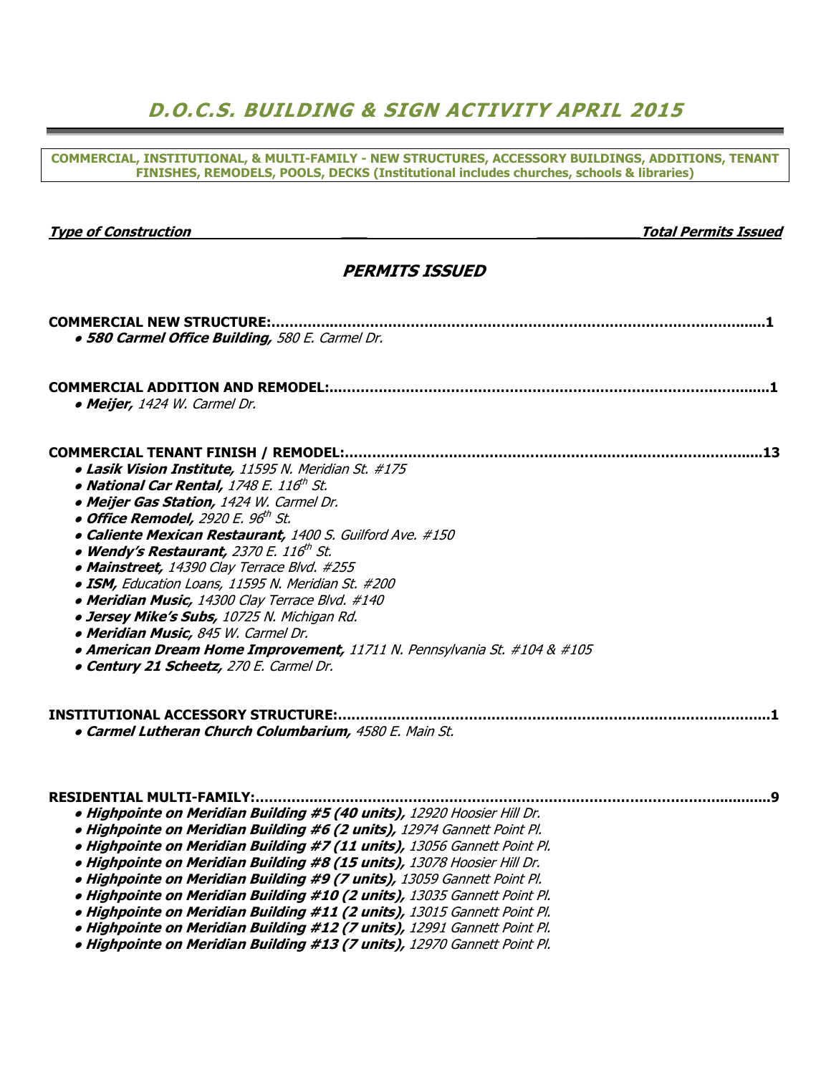# D.O.C.S. BUILDING & SIGN ACTIVITY APRIL 2015

COMMERCIAL, INSTITUTIONAL, & MULTI-FAMILY - NEW STRUCTURES, ACCESSORY BUILDINGS, ADDITIONS, TENANT FINISHES, REMODELS, POOLS, DECKS (Institutional includes churches, schools & libraries)

#### Type of Construction and the construction of the construction of the construction of the construction of the construction of the construction of the construction of the construction of the construction of the construction

#### PERMITS ISSUED

| · 580 Carmel Office Building, 580 E. Carmel Dr.                                                                                                                                                                                                                                                                                                                                                                                                                                                                                                                                                                                                                                                                                              |
|----------------------------------------------------------------------------------------------------------------------------------------------------------------------------------------------------------------------------------------------------------------------------------------------------------------------------------------------------------------------------------------------------------------------------------------------------------------------------------------------------------------------------------------------------------------------------------------------------------------------------------------------------------------------------------------------------------------------------------------------|
| • Meijer, 1424 W. Carmel Dr.                                                                                                                                                                                                                                                                                                                                                                                                                                                                                                                                                                                                                                                                                                                 |
| · Lasik Vision Institute, 11595 N. Meridian St. #175<br>• National Car Rental, 1748 E. 116th St.<br>· Meijer Gas Station, 1424 W. Carmel Dr.<br>$\bullet$ Office Remodel, 2920 E. 96 <sup>th</sup> St.<br>· Caliente Mexican Restaurant, 1400 S. Guilford Ave. #150<br>• Wendy's Restaurant, 2370 E. 116 <sup>th</sup> St.<br>• Mainstreet, 14390 Clay Terrace Blvd. #255<br>· ISM, Education Loans, 11595 N. Meridian St. #200<br>· Meridian Music, 14300 Clay Terrace Blvd. #140<br>· Jersey Mike's Subs, 10725 N. Michigan Rd.<br>· Meridian Music, 845 W. Carmel Dr.<br>• American Dream Home Improvement, 11711 N. Pennsylvania St. #104 & #105<br>• Century 21 Scheetz, 270 E. Carmel Dr.<br><b>INSTITUTIONAL ACCESSORY STRUCTURE:</b> |
| · Carmel Lutheran Church Columbarium, 4580 E. Main St.                                                                                                                                                                                                                                                                                                                                                                                                                                                                                                                                                                                                                                                                                       |
| <b>RESIDENTIAL MULTI-FAMILY:</b><br>· Highpointe on Meridian Building #5 (40 units), 12920 Hoosier Hill Dr.<br>· Highpointe on Meridian Building #6 (2 units), 12974 Gannett Point Pl.<br>· Highpointe on Meridian Building #7 (11 units), 13056 Gannett Point Pl.<br>· Highpointe on Meridian Building #8 (15 units), 13078 Hoosier Hill Dr.<br>· Highpointe on Meridian Building #9 (7 units), 13059 Gannett Point Pl.<br>· Highpointe on Meridian Building #10 (2 units), 13035 Gannett Point Pl.<br>· Highpointe on Meridian Building #11 (2 units), 13015 Gannett Point Pl.<br>· Highpointe on Meridian Building #12 (7 units), 12991 Gannett Point Pl.<br>· Highpointe on Meridian Building #13 (7 units), 12970 Gannett Point Pl.     |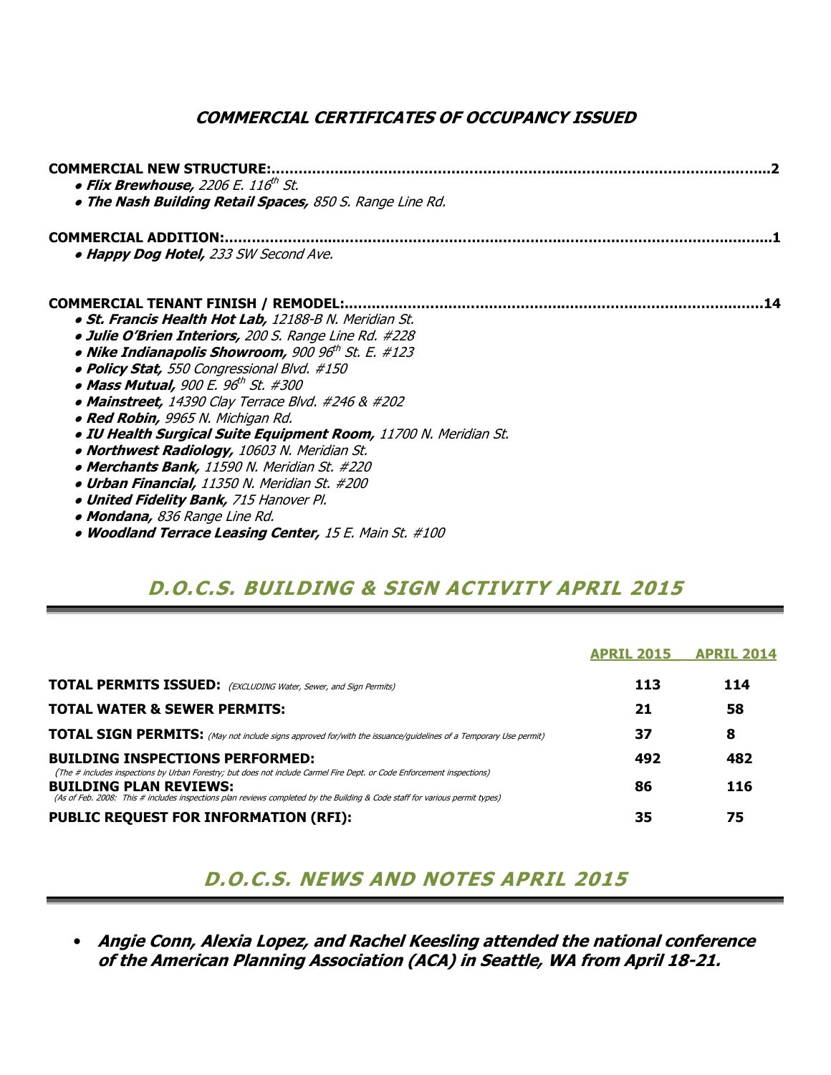### COMMERCIAL CERTIFICATES OF OCCUPANCY ISSUED

| <b>COMMERCIAL NEW STRUCTURE:</b><br>$\bullet$ Flix Brewhouse, 2206 E. 116 <sup>th</sup> St.<br>. The Nash Building Retail Spaces, 850 S. Range Line Rd. |
|---------------------------------------------------------------------------------------------------------------------------------------------------------|
| COMMERCIAL ADDITION:.<br>• Happy Dog Hotel, 233 SW Second Ave.                                                                                          |
| COMMERCIAL TENANT FINISH / REMODEL:.<br>14                                                                                                              |
| · St. Francis Health Hot Lab, 12188-B N. Meridian St.                                                                                                   |
| · Julie O'Brien Interiors, 200 S. Range Line Rd. #228                                                                                                   |
| • Nike Indianapolis Showroom, 900 96th St. E. #123                                                                                                      |
| • Policy Stat, 550 Congressional Blvd. #150                                                                                                             |
| $\bullet$ Mass Mutual, 900 E. 96 <sup>th</sup> St. #300                                                                                                 |
| $\bullet$ Mainstreet, 14390 Clay Terrace Blvd. #246 & #202                                                                                              |
| • Red Robin, 9965 N. Michigan Rd.                                                                                                                       |
| · IU Health Surgical Suite Equipment Room, 11700 N. Meridian St.                                                                                        |
| . Northwest Radiology, 10603 N. Meridian St.                                                                                                            |
| • Merchants Bank, 11590 N. Meridian St. #220                                                                                                            |
| • Urban Financial, 11350 N. Meridian St. #200                                                                                                           |
| . United Fidelity Bank, 715 Hanover Pl.                                                                                                                 |
| • Mondana, 836 Range Line Rd.                                                                                                                           |
| • Woodland Terrace Leasing Center, 15 E. Main St. #100                                                                                                  |

## D.O.C.S. BUILDING & SIGN ACTIVITY APRIL 2015

|                                                                                                                                                                  | <b>APRIL 2015</b> | <b>APRIL 2014</b> |
|------------------------------------------------------------------------------------------------------------------------------------------------------------------|-------------------|-------------------|
| <b>TOTAL PERMITS ISSUED:</b> (EXCLUDING Water, Sewer, and Sign Permits)                                                                                          | 113               | 114               |
| <b>TOTAL WATER &amp; SEWER PERMITS:</b>                                                                                                                          | 21                | 58                |
| <b>TOTAL SIGN PERMITS:</b> (May not include signs approved for/with the issuance/guidelines of a Temporary Use permit)                                           | 37                | 8                 |
| <b>BUILDING INSPECTIONS PERFORMED:</b><br>(The # includes inspections by Urban Forestry; but does not include Carmel Fire Dept. or Code Enforcement inspections) | 492               | 482               |
| <b>BUILDING PLAN REVIEWS:</b><br>(As of Feb. 2008: This # includes inspections plan reviews completed by the Building & Code staff for various permit types)     | 86                | 116               |
| <b>PUBLIC REQUEST FOR INFORMATION (RFI):</b>                                                                                                                     | 35                | 75                |

## D.O.C.S. NEWS AND NOTES APRIL 2015

• Angie Conn, Alexia Lopez, and Rachel Keesling attended the national conference of the American Planning Association (ACA) in Seattle, WA from April 18-21.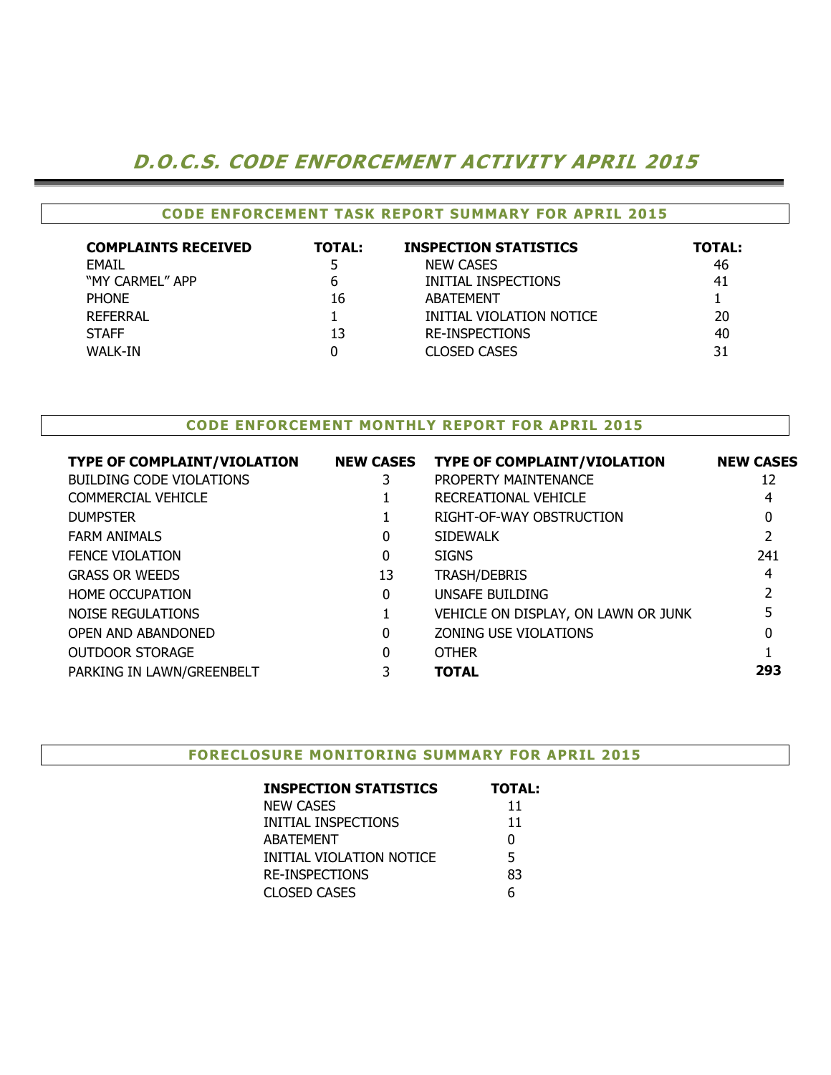# D.O.C.S. CODE ENFORCEMENT ACTIVITY APRIL 2015

#### CODE ENFORCEMENT TASK REPORT SUMMARY FOR APRIL 2015

| <b>COMPLAINTS RECEIVED</b> | <b>TOTAL:</b> | <b>INSPECTION STATISTICS</b> | <b>TOTAL:</b> |
|----------------------------|---------------|------------------------------|---------------|
| <b>FMAIL</b>               | 5.            | <b>NEW CASES</b>             | 46            |
| "MY CARMEL" APP            | 6             | INITIAL INSPECTIONS          | 41            |
| <b>PHONE</b>               | 16            | ABATEMENT                    |               |
| <b>REFERRAL</b>            |               | INITIAL VIOLATION NOTICE     | 20            |
| <b>STAFF</b>               | 13            | <b>RE-INSPECTIONS</b>        | 40            |
| WALK-IN                    |               | <b>CLOSED CASES</b>          | 31            |

#### CODE ENFORCEMENT MONTHLY REPORT FOR APRIL 2015

| <b>TYPE OF COMPLAINT/VIOLATION</b> | <b>NEW CASES</b> | <b>TYPE OF COMPLAINT/VIOLATION</b>  | <b>NEW CASES</b> |
|------------------------------------|------------------|-------------------------------------|------------------|
| <b>BUILDING CODE VIOLATIONS</b>    | 3                | PROPERTY MAINTENANCE                | 12               |
| COMMERCIAL VEHICLE                 |                  | RECREATIONAL VEHICLE                | 4                |
| <b>DUMPSTER</b>                    |                  | RIGHT-OF-WAY OBSTRUCTION            | 0                |
| <b>FARM ANIMALS</b>                | 0                | <b>SIDEWALK</b>                     |                  |
| <b>FENCE VIOLATION</b>             | 0                | <b>SIGNS</b>                        | 241              |
| <b>GRASS OR WEEDS</b>              | 13               | <b>TRASH/DEBRIS</b>                 | 4                |
| <b>HOME OCCUPATION</b>             | 0                | UNSAFE BUILDING                     |                  |
| NOISE REGULATIONS                  |                  | VEHICLE ON DISPLAY, ON LAWN OR JUNK | 5                |
| OPEN AND ABANDONED                 | 0                | ZONING USE VIOLATIONS               | 0                |
| <b>OUTDOOR STORAGE</b>             | 0                | <b>OTHER</b>                        |                  |
| PARKING IN LAWN/GREENBELT          |                  | <b>TOTAL</b>                        | 293              |
|                                    |                  |                                     |                  |

#### FORECLOSURE MONITORING SUMMARY FOR APRIL 2015

| <b>INSPECTION STATISTICS</b> | <b>TOTAL:</b> |
|------------------------------|---------------|
| <b>NEW CASES</b>             | 11            |
| INITIAL INSPECTIONS          | 11            |
| <b>ABATEMENT</b>             | 0             |
| INITIAL VIOLATION NOTICE     | 5             |
| <b>RE-INSPECTIONS</b>        | 83            |
| <b>CLOSED CASES</b>          | 6             |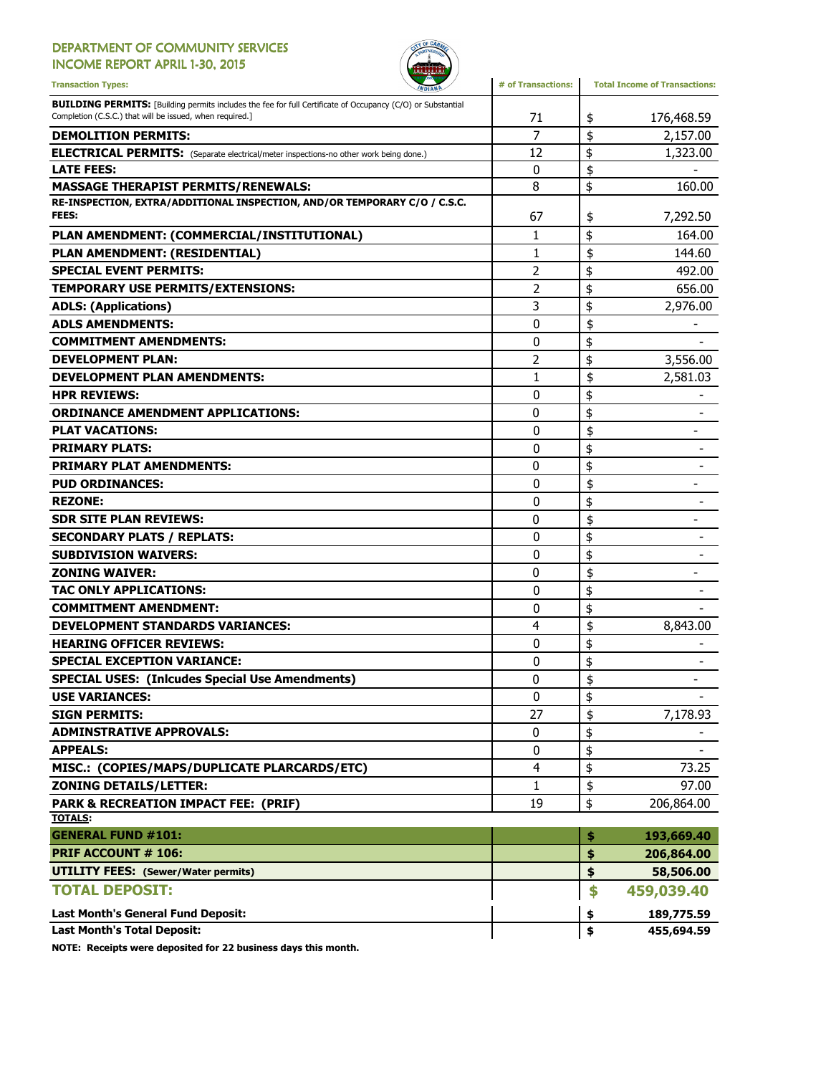### DEPARTMENT OF COMMUNITY SERVICES

INCOME REPORT APRIL 1-30, 2015



| <b>Transaction Types:</b><br><b><i>INDIANA</i></b>                                                                                                                             | # of Transactions: | <b>Total Income of Transactions:</b> |
|--------------------------------------------------------------------------------------------------------------------------------------------------------------------------------|--------------------|--------------------------------------|
| <b>BUILDING PERMITS:</b> [Building permits includes the fee for full Certificate of Occupancy (C/O) or Substantial<br>Completion (C.S.C.) that will be issued, when required.] | 71                 | \$<br>176,468.59                     |
| <b>DEMOLITION PERMITS:</b>                                                                                                                                                     | $\overline{7}$     | \$<br>2,157.00                       |
| <b>ELECTRICAL PERMITS:</b> (Separate electrical/meter inspections-no other work being done.)                                                                                   | 12                 | \$<br>1,323.00                       |
| <b>LATE FEES:</b>                                                                                                                                                              | 0                  | \$                                   |
| <b>MASSAGE THERAPIST PERMITS/RENEWALS:</b>                                                                                                                                     | 8                  | \$<br>160.00                         |
| RE-INSPECTION, EXTRA/ADDITIONAL INSPECTION, AND/OR TEMPORARY C/O / C.S.C.<br>FEES:                                                                                             | 67                 | \$<br>7,292.50                       |
| PLAN AMENDMENT: (COMMERCIAL/INSTITUTIONAL)                                                                                                                                     | 1                  | \$<br>164.00                         |
| PLAN AMENDMENT: (RESIDENTIAL)                                                                                                                                                  | 1                  | \$<br>144.60                         |
| <b>SPECIAL EVENT PERMITS:</b>                                                                                                                                                  | $\overline{2}$     | \$<br>492.00                         |
| TEMPORARY USE PERMITS/EXTENSIONS:                                                                                                                                              | 2                  | \$<br>656.00                         |
| <b>ADLS: (Applications)</b>                                                                                                                                                    | 3                  | \$<br>2,976.00                       |
| <b>ADLS AMENDMENTS:</b>                                                                                                                                                        | 0                  | \$                                   |
| <b>COMMITMENT AMENDMENTS:</b>                                                                                                                                                  | 0                  | \$                                   |
| <b>DEVELOPMENT PLAN:</b>                                                                                                                                                       | 2                  | \$<br>3,556.00                       |
| <b>DEVELOPMENT PLAN AMENDMENTS:</b>                                                                                                                                            | 1                  | \$<br>2,581.03                       |
| <b>HPR REVIEWS:</b>                                                                                                                                                            | 0                  | \$                                   |
| <b>ORDINANCE AMENDMENT APPLICATIONS:</b>                                                                                                                                       | 0                  | \$                                   |
| <b>PLAT VACATIONS:</b>                                                                                                                                                         | 0                  | \$<br>$\overline{\phantom{0}}$       |
| <b>PRIMARY PLATS:</b>                                                                                                                                                          | $\mathbf{0}$       | \$                                   |
| <b>PRIMARY PLAT AMENDMENTS:</b>                                                                                                                                                | 0                  | \$                                   |
| <b>PUD ORDINANCES:</b>                                                                                                                                                         | $\mathbf{0}$       | \$                                   |
| <b>REZONE:</b>                                                                                                                                                                 | 0                  | \$                                   |
| <b>SDR SITE PLAN REVIEWS:</b>                                                                                                                                                  | 0                  | \$                                   |
| <b>SECONDARY PLATS / REPLATS:</b>                                                                                                                                              | 0                  | \$                                   |
| <b>SUBDIVISION WAIVERS:</b>                                                                                                                                                    | 0                  | \$<br>$\overline{\phantom{a}}$       |
| <b>ZONING WAIVER:</b>                                                                                                                                                          | 0                  | \$<br>$\overline{\phantom{0}}$       |
| TAC ONLY APPLICATIONS:                                                                                                                                                         | 0                  | \$                                   |
| <b>COMMITMENT AMENDMENT:</b>                                                                                                                                                   | $\mathbf{0}$       | \$                                   |
| <b>DEVELOPMENT STANDARDS VARIANCES:</b>                                                                                                                                        | 4                  | \$<br>8,843.00                       |
| <b>HEARING OFFICER REVIEWS:</b>                                                                                                                                                | $\mathbf{0}$       | \$                                   |
| <b>SPECIAL EXCEPTION VARIANCE:</b>                                                                                                                                             | 0                  | \$                                   |
| <b>SPECIAL USES: (Inlcudes Special Use Amendments)</b>                                                                                                                         | 0                  | \$<br>$\qquad \qquad \blacksquare$   |
| <b>USE VARIANCES:</b>                                                                                                                                                          | $\pmb{0}$          | \$                                   |
| <b>SIGN PERMITS:</b>                                                                                                                                                           | 27                 | \$<br>7,178.93                       |
| <b>ADMINSTRATIVE APPROVALS:</b>                                                                                                                                                | 0                  | \$                                   |
| <b>APPEALS:</b>                                                                                                                                                                | 0                  | \$                                   |
| MISC.: (COPIES/MAPS/DUPLICATE PLARCARDS/ETC)                                                                                                                                   | 4                  | \$<br>73.25                          |
| <b>ZONING DETAILS/LETTER:</b>                                                                                                                                                  | 1                  | \$<br>97.00                          |
| <b>PARK &amp; RECREATION IMPACT FEE: (PRIF)</b>                                                                                                                                | 19                 | \$<br>206,864.00                     |
| <b>TOTALS:</b>                                                                                                                                                                 |                    |                                      |
| <b>GENERAL FUND #101:</b>                                                                                                                                                      |                    | \$<br>193,669.40                     |
| <b>PRIF ACCOUNT # 106:</b>                                                                                                                                                     |                    | \$<br>206,864.00                     |
| <b>UTILITY FEES: (Sewer/Water permits)</b>                                                                                                                                     |                    | \$<br>58,506.00                      |
| <b>TOTAL DEPOSIT:</b>                                                                                                                                                          |                    | \$<br>459,039.40                     |
| <b>Last Month's General Fund Deposit:</b>                                                                                                                                      |                    | \$<br>189,775.59                     |
| <b>Last Month's Total Deposit:</b>                                                                                                                                             |                    | \$<br>455,694.59                     |

NOTE: Receipts were deposited for 22 business days this month.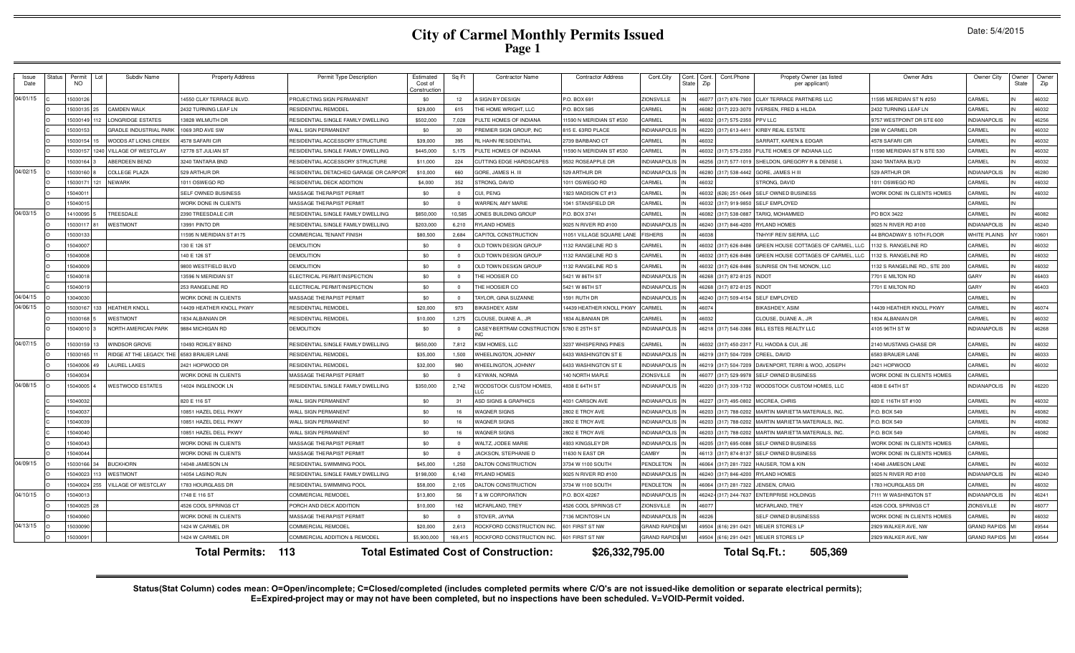# **City of Carmel Monthly Permits Issued Page 1**

|  | Date: 5/4/2015 |  |
|--|----------------|--|
|--|----------------|--|

| Issue<br>Date | Status | Permit<br><b>NO</b> | Subdiv Name                    | <b>Property Address</b>     | Permit Type Description               | Estimated<br>Cost of<br>Constructie | Sq Ft          | <b>Contractor Name</b>                       | <b>Contractor Address</b>   | Cont.City              | Cont.<br><b>State</b> | Cont.<br>Zip | Cont.Phone<br>Propety Owner (as listed<br>per applicant) | Owner Adrs                   | Owner City          | Owner<br>State | Owner<br>Zip |
|---------------|--------|---------------------|--------------------------------|-----------------------------|---------------------------------------|-------------------------------------|----------------|----------------------------------------------|-----------------------------|------------------------|-----------------------|--------------|----------------------------------------------------------|------------------------------|---------------------|----------------|--------------|
| 04/01/15      |        | 1503012             |                                | 14550 CLAY TERRACE BLVD     | PROJECTING SIGN PERMANENT             | \$0                                 | 12             | <b>SIGN BY DESIGN</b>                        | P.O. BOX 691                | ZIONSVILLE             |                       | 1607         | CLAY TERRACE PARTNERS LLC<br>(317) 876-7900              | 11595 MERIDIAN ST N #250     | CARMEL              |                | 46032        |
|               |        | 1503013             | <b>AMDEN WALK</b>              | 2432 TURNING LEAF LN        | RESIDENTIAL REMODEL                   | \$29,000                            | 615            | THE HOME WRIGHT, LLC                         | P.O. BOX 585                | CARMEL                 |                       | 16082        | (317) 223-3070<br><b>VERSEN, FRED &amp; HILDA</b>        | 2432 TURNING LEAF LN         | CARMEL              |                | 46032        |
|               |        | 15030149            | ONGRIDGE ESTATES               | 13828 WILMUTH DR            | RESIDENTIAL SINGLE FAMILY DWELLING    | \$502,000                           | 7,028          | <b>PULTE HOMES OF INDIANA</b>                | 1590 N MERIDIAN ST #530     | CARMEL                 |                       | <b>ENA</b>   | (317) 575-2350<br>PV LLC                                 | 9757 WESTPOINT DR STE 600    | <b>INDIANAPOLIS</b> |                | 46256        |
|               |        | 1503015             | <b>GRADLE INDUSTRIAL PAR</b>   | 1069 3RD AVE SW             | WALL SIGN PERMANENT                   | \$0                                 | 30             | REMIER SIGN GROUP, INC                       | 15 E. 63RD PLACE            | <b>INDIANAPOLI</b>     |                       | 622          | (317) 613-441<br><b>IRBY REAL ESTATE</b>                 | 298 W CARMEL DR              | CARMEI              |                | 46032        |
|               |        | 5030154             | VOODS AT LIONS CREEK           | 578 SAFARI CIR              | RESIDENTIAL ACCESSORY STRUCTURE       | \$39,000                            | 395            | L HAHN RESIDENTIAL                           | 739 BARBANO CT              | CARMEL                 |                       |              | <b>ARRATT, KAREN &amp; EDGAR</b>                         | 4578 SAFARI CIR              | CARMEL              |                | 46032        |
|               |        | 15030157            | VILLAGE OF WESTCLAY            | 12778 ST JULIAN ST          | RESIDENTIAL SINGLE FAMILY DWELLING    | \$445,000                           | 5,175          | PULTE HOMES OF INDIANA                       | 1590 N MERIDIAN ST #530     | CARMEL                 |                       | 16032        | (317) 575-2350<br>PULTE HOMES OF INDIANA LLC             | 11590 MERIDIAN ST N STE 530  | CARMEL              |                | 46032        |
|               |        | 1503016             | ABERDEEN BEND                  | 3240 TANTARA BND            | RESIDENTIAL ACCESSORY STRUCTURE       | \$11,000                            | 224            | CUTTING EDGE HARDSCAPES                      | 9532 ROSEAPPLE DR           | <b>INDIANAPOLIS</b>    |                       | 16256        | (317) 577-1019<br>SHELDON, GREGORY R & DENISE L          | 3240 TANTARA BLVD            | CARMEL              |                | 46032        |
| 04/02/15      |        | 5030160             | OLLEGE PLAZA                   | 529 ARTHUR DF               | RESIDENTIAL DETACHED GARAGE OR CARPOF | \$10,000                            | 660            | GORE, JAMES H.                               | 529 ARTHUR DR               | <b>INDIANAPOLIS</b>    |                       | 1628         | (317) 538-4442<br><b>GORE, JAMES H II</b>                | 529 ARTHUR DR                | INDIANAPOLIS        |                | 46280        |
|               |        | 1503017             | NEWARK                         | 1011 OSWEGO RD              | RESIDENTIAL DECK ADDITION             | \$4,000                             | 352            | <b>STRONG, DAVID</b>                         | 1011 OSWEGO RD              | CARMEL                 |                       | 603          | <b>STRONG, DAVID</b>                                     | 1011 OSWEGO RD               | CARMEL              |                | 46032        |
|               |        | 1504001             |                                | SELF OWNED BUSINESS         | MASSAGE THE RAPIST PERMIT             | \$0                                 | $\Omega$       | <b>UI, PENG</b>                              | 923 MADISON CT #13          | CARMEI                 |                       |              | (626) 251-0649<br><b>ELF OWNED BUSINESS</b>              | WORK DONE IN CLIENTS HOMES   | CARMEL              |                | 46032        |
|               |        | 15040015            |                                | <b>WORK DONE IN CLIENTS</b> | MASSAGE THE RAPIST PERMIT             | \$0                                 | $\Omega$       | VARREN, AMY MARIE                            | 1041 STANSFIELD DF          | <b>ARMEL</b>           |                       | 6032         | <b>SELF EMPLOYED</b><br>(317) 919-9850                   |                              | CARMEL              |                |              |
| 04/03/15      |        | 14100095            | REESDALE                       | 2390 TREESDALE CIF          | RESIDENTIAL SINGLE FAMILY DWELLING    | \$850,000                           | 10,585         | JONES BUILDING GROUP                         | P.O. BOX 3741               | CARMEL                 |                       | 16082        | (317) 538-0887<br><b>FARIQ, MOHAMMED</b>                 | PO BOX 3422                  | CARMEL              |                | 46082        |
|               |        | 15030117            | <b>VESTMONT</b>                | 13991 PINTO DF              | RESIDENTIAL SINGLE FAMILY DWELLING    | \$203,000                           | 6,210          | <b>RYLAND HOMES</b>                          | 9025 N RIVER RD #100        | <b>INDIANAPOLIS</b>    |                       | 16240        | (317) 846-4200<br><b>RYLAND HOMES</b>                    | 9025 N RIVER RD #100         | <b>INDIANAPOLIS</b> |                | 46240        |
|               |        | 1503013             |                                | 11595 N MERIDIAN ST #175    | COMMERCIAL TENANT FINISH              | \$80,500                            | 2.684          | CAPITOL CONSTRUCTION                         | 11051 VILLAGE SQUARE LANE   | <b>FISHERS</b>         |                       | <b>CO3</b>   | NHYIF REIV SIERRA, LLC                                   | 44 BROADWAY S 10TH FLOOR     | WHITE PLAINS        |                | 10601        |
|               |        | 1504000             |                                | 130 E 126 ST                | <b>DEMOLITION</b>                     | \$0                                 | $^{\circ}$     | OLD TOWN DESIGN GROUP                        | 132 RANGELINE RD S          | CARMEI                 |                       | <b>ENA</b>   | REEN HOUSE COTTAGES OF CARMEL, LLC<br>(317) 626-8486     | 1132 S. RANGELINE RD         | CARMEL              |                | 46032        |
|               |        | 15040008            |                                | 140 E 126 ST                | DEMOLITION                            | \$0                                 | $^{\circ}$     | OLD TOWN DESIGN GROUP                        | 132 RANGELINE RD S          | CARMEL                 |                       |              | (317) 626-8486<br>GREEN HOUSE COTTAGES OF CARMEL, LLC    | 132 S. RANGELINE RD          | CARMEL              |                | 46032        |
|               |        | 15040009            |                                | 9800 WESTFIELD BLVD         | <b>DEMOLITION</b>                     | \$0                                 | $\overline{0}$ | OLD TOWN DESIGN GROUP                        | 1132 RANGELINE RD S         | CARMEL                 |                       | 16032        | (317) 626-8486<br><b>JUNRISE ON THE MONON, LLC</b>       | 132 S RANGELINE RD., STE 200 | CARMEL              |                | 46032        |
|               |        | 1504001             |                                | 13596 N MERIDIAN ST         | ELECTRICAL PERMIT/INSPECTION          | \$0                                 | $^{\circ}$     | THE HOOSIER CO                               | 5421 W 86TH ST              | <b>INDIANAPOLIS</b>    |                       | 6268         | (317) 872-8125<br><b>NDOT</b>                            | 7701 E MILTON RD             | GARY                |                | 46403        |
|               |        | 1504001             |                                | 253 RANGELINE RD            | ELECTRICAL PERMIT/INSPECTION          | \$0                                 | $^{\circ}$     | THE HOOSIER CO                               | 5421 W 86TH ST              | <b>INDIANAPOLIS</b>    |                       | 16268        | (317) 872-8125<br><b>NDOT</b>                            | 7701 E MILTON RD             | GARY                |                | 46403        |
| 04/04/15      |        | 13040030            |                                | WORK DONE IN CLIENTS        | MASSAGE THE RAPIST PERMIT             | \$0                                 | $\Omega$       | <b>TAYLOR, GINA SUZANNE</b>                  | 1591 RUTH DR                | <b>NDIANAPOLIS</b>     |                       | 1624         | (317) 509-4154<br><b>SELF EMPLOYED</b>                   |                              | CARMEL              |                |              |
| 04/06/15      |        | 1503016             | <b>IEATHER KNOLI</b>           | 14439 HEATHER KNOLL PKWY    | RESIDENTIAL REMODEI                   | \$20,000                            | 973            | <b>BIKASHDEY, ASIM</b>                       | 14439 HEATHER KNOLL PKWY    | CARMEL                 |                       | 16074        | <b>BIKASHDEY, ASIM</b>                                   | 4439 HEATHER KNOLL PKWY      | CARMEL              |                | 46074        |
|               |        | 5030168             | VESTMONT                       | 1834 ALBANIAN DR            | RESIDENTIAL REMODEL                   | \$10,000                            | 1,275          | LOUSE, DUANE A., JR                          | <b>1834 ALBANIAN DE</b>     | ARMEI                  |                       | 603          | LOUSE, DUANE A., JR                                      | 834 ALBANIAN DE              | CARMEL              |                | 46032        |
|               |        | 5040010             | <b>VORTH AMERICAN PARK</b>     | 9884 MICHIGAN RD            | <b>DEMOLITION</b>                     | \$0                                 | $^{\circ}$     | CASEY-BERTRAM CONSTRUCTION                   | 5780 E 25TH ST              | <b>INDIANAPOLIS</b>    |                       |              | 46218 (317) 546-3366<br>BILL ESTES REALTY LLC            | 4105 96TH ST W               | <b>INDIANAPOLIS</b> |                | 46268        |
| 04/07/15      |        | 503015              | <b>VINDSOR GROVE</b>           | 10493 ROXLEY BEND           | RESIDENTIAL SINGLE FAMILY DWELLING    | \$650,000                           | 7.812          | <b>KSM HOMES, LLC</b>                        | 3237 WHISPERING PINES       | CARMEL                 |                       | 16032        | (317) 450-2317<br>U, HAODA & CUI, JIE                    | 2140 MUSTANG CHASE DR        | CARMEI              |                | 46032        |
|               |        | 5030165             | <b>IDGE AT THE LEGACY. THE</b> | 6583 BRAUER LANE            | RESIDENTIAL REMODEL                   | \$35,000                            | 1.500          | <b>VHEELINGTON, JOHNNY</b>                   | <b>6433 WASHINGTON ST E</b> | <b>NDIANAPOLIS</b>     |                       | 621          | (317) 504-7209<br>REEL, DAVID                            | 6583 BRAUER LANE             | CARMEL              |                | 46033        |
|               |        | 15040006            | <b>AUREL LAKES</b>             | 2421 HOPWOOD DR             | RESIDENTIAL REMODEI                   | \$32,000                            | 980            | <b>VHEELINGTON, JOHNNY</b>                   | 6433 WASHINGTON ST E        | <b>INDIANAPOLIS</b>    |                       | 621          | DAVENPORT, TERRI & WOO, JOSEPH<br>(317) 504-7209         | 2421 HOPWOOD                 | CARMEL              |                | 46032        |
|               |        | 15040034            |                                | <b>WORK DONE IN CLIENTS</b> | MASSAGE THE RAPIST PERMIT             | \$0                                 | $^{\circ}$     | <b>(EYWAN, NORMA</b>                         | 140 NORTH MAPLE             | <b>ZIONSVILLE</b>      |                       | 16077        | (317) 529-9978<br><b>SELF OWNED BUSINESS</b>             | WORK DONE IN CLIENTS HOMES   | CARMEL              |                |              |
| 04/08/15      |        | 5040005             | <b>VESTWOOD ESTATES</b>        | 14024 INGLENOOK LN          | RESIDENTIAL SINGLE FAMILY DWELLING    | \$350,000                           | 2.742          | <b>VOODSTOCK CUSTOM HOMES.</b>               | 4838 E 64TH ST              | <b>NDIANAPOLIS</b>     |                       | 16220        | (317) 339-1732<br>WOODSTOCK CUSTOM HOMES, LLC            | 4838 E 64TH ST               | <b>INDIANAPOLIS</b> |                | 46220        |
|               |        | 15040032            |                                | 820 E 116 ST                | <b>WALL SIGN PERMANENT</b>            | \$0                                 | 31             | <b>ASD SIGNS &amp; GRAPHICS</b>              | 4031 CARSON AVE             | <b>NDIANAPOLIS</b>     |                       | 6227         | (317) 495-0802<br><b>MCCREA, CHRIS</b>                   | 820 E 116TH ST #100          | CARMEL              |                | 46032        |
|               |        | 1504003             |                                | 10851 HAZEL DELL PKWY       | WALL SIGN PERMANENT                   | \$0                                 | 16             | <b>WAGNER SIGNS</b>                          | 2802 E TROY AVE             | <b>INDIANAPOLIS</b>    |                       | 16203        | (317) 788-0202<br>MARTIN MARIETTA MATERIALS, INC.        | P.O. BOX 549                 | CARMEL              |                | 46082        |
|               |        | 15040039            |                                | 10851 HAZEL DELL PKWY       | WALL SIGN PERMANENT                   | \$0                                 | 16             | <b>VAGNER SIGNS</b>                          | 2802 E TROY AVE             | <b>NDIANAPOLIS</b>     |                       | 620          | (317) 788-0202<br>MARTIN MARIETTA MATERIALS, INC.        | P.O. BOX 549                 | CARMEL              |                | 46082        |
|               |        | 15040040            |                                | 10851 HAZEL DELL PKWY       | WALL SIGN PERMANENT                   | \$0                                 | 16             | <b>WAGNER SIGNS</b>                          | 2802 E TROY AVE             | <b>INDIANAPOLIS</b>    |                       | <b>1620</b>  | (317) 788-0202<br>MARTIN MARIFTTA MATERIALS. INC.        | P.O. BOX 549                 | CARMEL              |                | 46082        |
|               |        | 1504004             |                                | WORK DONE IN CLIENTS        | MASSAGE THE RAPIST PERMIT             | \$0                                 | $^{\circ}$     | WALTZ, JODEE MARIE                           | <b>1933 KINGSLEY DF</b>     | <b>NDIANAPOLIS</b>     |                       | 620          | (317) 695-0088<br><b>ELF OWNED BUSINESS</b>              | WORK DONE IN CLIENTS HOMES   | CARMEL              |                |              |
|               |        | 15040044            |                                | <b>VORK DONE IN CLIENTS</b> | MASSAGE THE RAPIST PERMIT             | \$0                                 | $^{\circ}$     | <b>ACKSON, STEPHANIE D</b>                   | 1630 N EAST DR              | <b>CAMBY</b>           |                       | 6113         | (317) 874-8137<br>SELF OWNED BUSINESS                    | WORK DONE IN CLIENTS HOMES   | CARMEL              |                |              |
| 04/09/15      |        | 5030166             | <b>UCKHORN</b>                 | 14048 JAMESON LN            | RESIDENTIAL SWIMMING POOL             | \$45,000                            | 1,250          | DALTON CONSTRUCTION                          | 3734 W 1100 SOUTH           | PENDLETON              |                       | 6064         | <b>HAUSER, TOM &amp; KIN</b><br>(317) 281-7322           | 4048 JAMESON LANE            | CARMEL              |                | 46032        |
|               |        | 15040023            | <b>NESTMONT</b>                | 14054 LASINO RUN            | RESIDENTIAL SINGLE FAMILY DWELLING    | \$198,000                           | 6.140          | <b>RYLAND HOMES</b>                          | 9025 N RIVER RD #100        | <b>INDIANAPOLIS</b>    |                       | 16240        | (317) 846-4200<br><b>RYLAND HOMES</b>                    | 9025 N RIVER RD #100         | <b>INDIANAPOLIS</b> |                | 46240        |
|               |        | 15040024            | ILLAGE OF WESTCLAY             | 1783 HOURGLASS DF           | RESIDENTIAL SWIMMING POOL             | \$58,000                            | 2.105          | <b>DALTON CONSTRUCTION</b>                   | 3734 W 1100 SOUTH           | PENDLETON              |                       | 16064        | (317) 281-7322<br><b>JENSEN, CRAIG</b>                   | 1783 HOURGLASS DR            | CARMEL              |                | 46032        |
| 04/10/15      |        | 1504001             |                                | 748 E 116 ST                | COMMERCIAL REMODEI                    | \$13,800                            | 56             | & W CORPORATION                              | P.O. BOX 42267              | <b>NDIANAPOLIS</b>     |                       | 16242        | (317) 244-7637<br>NTERPRISE HOLDINGS                     | 7111 W WASHINGTON ST         | <b>INDIANAPOLIS</b> |                | 46241        |
|               |        | 15040025            |                                | 4526 COOL SPRINGS CT        | ORCH AND DECK ADDITION                | \$10,000                            | 162            | <b>ICFARLAND, TREY</b>                       | <b>1526 COOL SPRINGS CT</b> | ZIONSVILLE             |                       | 607          | <b>MCFARLAND, TREY</b>                                   | <b>1526 COOL SPRINGS CT</b>  | <b>ZIONSVILLE</b>   |                | 46077        |
|               |        | 5040060             |                                | VORK DONE IN CLIENTS        | MASSAGE THE RAPIST PERMIT             | \$0                                 | $\Omega$       | TOVER, JAYNA                                 | 136 MCINTOSH LN             | <b>NDIANAPOLIS</b>     |                       | 1622         | SELF OWNED BUSINESSS                                     | WORK DONE IN CLIENTS HOMES   | CARMEL              |                | 46032        |
| 04/13/15      |        | 5030090             |                                | 1424 W CARMEL DR            | COMMERCIAL REMODEL                    | \$20,000                            | 2.613          | ROCKFORD CONSTRUCTION INC.                   | 601 FIRST ST NW             | <b>GRAND RAPIDS MI</b> |                       | 9504         | (616) 291-0421<br>MEIJER STORES LP                       | 2929 WALKER AVE, NW          | <b>GRAND RAPIDS</b> |                | 49544        |
|               |        | 1503009             |                                | 1424 W CARMEL DR            | COMMERCIAL ADDITION & REMODEL         | \$5,900,000                         | 169,415        | ROCKFORD CONSTRUCTION INC.                   | 601 FIRST ST NW             | <b>GRAND RAPIDS MI</b> |                       | 19504        | (616) 291-0421<br>MEIJER STORES LP                       | 2929 WALKER AVE, NW          | <b>GRAND RAPIDS</b> |                | 49544        |
|               |        |                     |                                | <b>Total Permits:</b>       | 113                                   |                                     |                | <b>Total Estimated Cost of Construction:</b> | \$26,332,795.00             |                        |                       |              | Total Sq.Ft.:<br>505,369                                 |                              |                     |                |              |

Status(Stat Column) codes mean: O=Open/incomplete; C=Closed/completed (includes completed permits where C/O's are not issued-like demolition or separate electrical permits);<br>E=Expired-project may or may not have been compl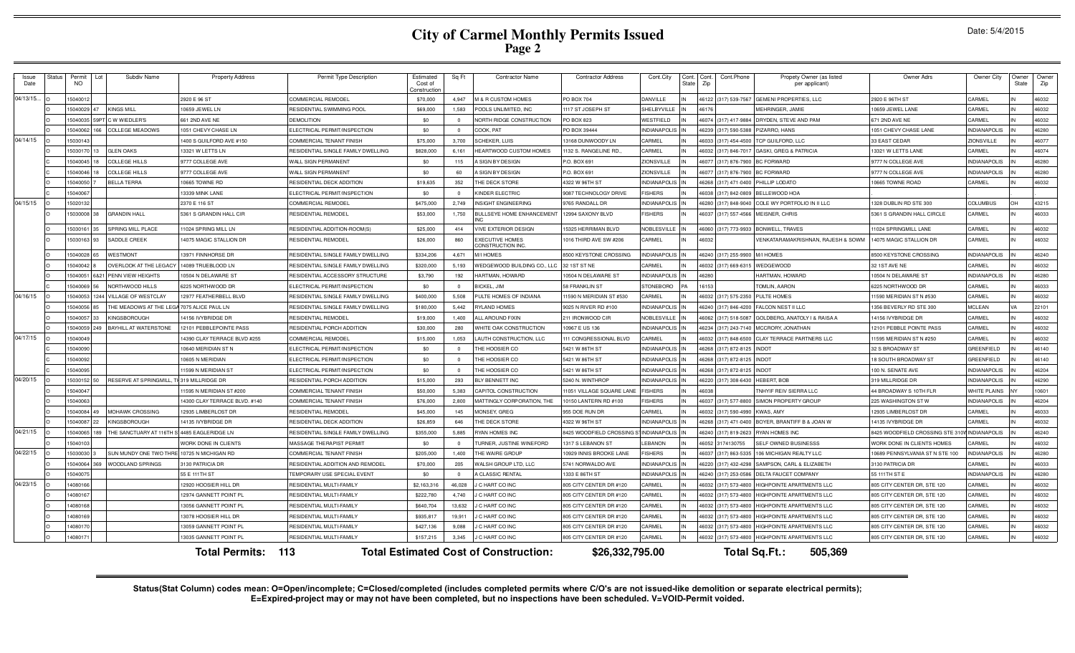# **City of Carmel Monthly Permits Issued Page 2**

| Issue<br>Date               | <b>Status</b><br>Permit<br>NO. | Subdiv Name                  | <b>Property Address</b>      | Permit Type Description            | Estimated<br>Cost of<br>Constructior | Sq Ft      | <b>Contractor Name</b>                       | <b>Contractor Address</b> | Cont.City           | Cont.<br>Cont.Phone<br>State<br>Zip | Propety Owner (as listed<br>per applicant) | Owner Adrs                         | Owner City          | Owner<br>State | Owner<br>Zip |
|-----------------------------|--------------------------------|------------------------------|------------------------------|------------------------------------|--------------------------------------|------------|----------------------------------------------|---------------------------|---------------------|-------------------------------------|--------------------------------------------|------------------------------------|---------------------|----------------|--------------|
| 04/13/15.                   | 5040012                        |                              | 2920 E 96 ST                 | <b>COMMERCIAL REMODEL</b>          | \$70,000                             | 4.947      | <b>M &amp; R CUSTOM HOMES</b>                | <b>PO BOX 704</b>         | DANVILLE            | 317) 539-7567<br>16122              | <b>GEMENI PROPERTIES, LLC</b>              | 2920 E 96TH ST                     | CARMEI              |                | 46032        |
|                             | 15040029 47                    | <b>KINGS MILL</b>            | 0659 JEWEL LN                | RESIDENTIAL SWIMMING POOL          | \$69,000                             | 1.583      | POOLS UNLIMITED. INC                         | 117 ST JOSEPH ST          | SHELBYVILLE         |                                     | MEHRINGER. JAMIE                           | 0659 JEWEL LANE                    | CARMEL              |                | 46032        |
|                             | 15040035 59P                   | T C W WIEDLER'S              | 661 2ND AVE NE               | <b>DEMOLITION</b>                  | \$0                                  | $^{\circ}$ | NORTH RIDGE CONSTRUCTION                     | PO BOX 823                | <b>NESTFIELD</b>    | (317) 417-9884<br>46074             | DRYDEN, STEVE AND PAM                      | 671 2ND AVE NE                     | CARMEL              |                | 46032        |
|                             | 15040062                       | <b>COLLEGE MEADOWS</b>       | 051 CHEVY CHASE LN           | ELECTRICAL PERMIT/INSPECTION       | \$0                                  | $^{\circ}$ | COOK, PAT                                    | PO BOX 39444              | <b>NDIANAPOLIS</b>  | 317) 590-5388<br>46239              | PIZARRO, HANS                              | 1051 CHEVY CHASE LANE              | <b>INDIANAPOLIS</b> |                | 46280        |
| 04/14/15                    | 15030143                       |                              | 400 S GUILFORD AVE #150      | <b>COMMERCIAL TENANT FINISH</b>    | \$75,000                             | 3.700      | SCHEKER, LUIS                                | 13168 DUNWOODY LN         | CARMEL              | 317) 454-4500<br>46033              | TCP GUILFORD, LLC                          | 33 EAST CEDAR                      | ZIONSVILLE          |                | 46077        |
|                             | 15030170 13                    | <b>GLEN OAKS</b>             | 13321 W LETTS LN             | RESIDENTIAL SINGLE FAMILY DWELLING | \$828,000                            | 6.161      | HEARTWOOD CUSTOM HOMES                       | 1132 S. RANGELINE RD.     | CARMEL              | 317) 846-7017<br>1603               | <b>GASKI, GREG &amp; PATRICIA</b>          | 13321 W LETTS LANE                 | CARMEL              |                | 46074        |
|                             | 5040045                        | <b>COLLEGE HILLS</b>         | 777 COLLEGE AVE              | WALL SIGN PERMANENT                | \$0                                  | 115        | <b>A SIGN BY DESIGN</b>                      | P.O. BOX 691              | ZIONSVILLE          | 317) 876-7900                       | <b>BC FORWARD</b>                          | 9777 N COLLEGE AVE                 | INDIANAPOLIS        |                | 46280        |
|                             | 15040046                       | <b>COLLEGE HILLS</b>         | 777 COLLEGE AVE              | WALL SIGN PERMANENT                | \$0                                  | 60         | <b>SIGN BY DESIGN</b>                        | P.O. BOX 691              | ZIONSVILLE          | 317) 876-7900                       | <b>BC FORWARD</b>                          | 9777 N COLLEGE AVE                 | <b>INDIANAPOLIS</b> |                | 46280        |
|                             | 15040050                       | <b>BELLA TERRA</b>           | 0665 TOWNE RD                | RESIDENTIAL DECK ADDITION          | \$19,635                             | 352        | THE DECK STORE                               | 4322 W 96TH ST            | NDIANAPOLIS         | 46268<br>317) 471-0400              | PHILLIP LODATO                             | 0665 TOWNE ROAD                    | CARMEL              |                | 46032        |
|                             | 15040067                       |                              | 13339 MINK LANE              | ELECTRICAL PERMIT/INSPECTION       | \$0                                  | $^{\circ}$ | KINDER ELECTRIC                              | 9087 TECHNOLOGY DRIVE     | <b>ISHERS</b>       | 317) 842-0809<br>46038              | <b>BELLEWOOD HOA</b>                       |                                    |                     |                |              |
| 04/15/15                    | 15020132                       |                              | 2370 E 116 ST                | COMMERCIAL REMODEL                 | \$475,000                            | 2.749      | INSIGHT ENGINEERING                          | 9765 RANDALL DR           | <b>NDIANAPOLIS</b>  | 317) 848-9040                       | COLE WY PORTFOLIO IN II LLC                | 328 DUBLIN RD STE 300              | <b>COLUMBUS</b>     | nн             | 43215        |
|                             | 5030008                        | <b>GRANDIN HALL</b>          | 5361 S GRANDIN HALL CIR      | RESIDENTIAL REMODEL                | \$53,000                             | 1,750      | BULLSEYE HOME ENHANCEMENT                    | 12994 SAXONY BLVD         | <b>ISHERS</b>       | 317) 557-4566<br>46037              | MEISNER, CHRIS                             | 5361 S GRANDIN HALL CIRCLE         | CARMEL              |                | 46033        |
|                             | 15030161 35                    | <b>SPRING MILL PLACE</b>     | 1024 SPRING MILL LN          | RESIDENTIAL ADDITION-ROOM(S)       | \$25,000                             | 414        | <b>VIVE EXTERIOR DESIGN</b>                  | 5325 HERRIMAN BLVD        | NOBLESVILLE         | 46060<br>317) 773-9933              | BONWELL, TRAVES                            | 1024 SPRINGMILL LANE               | CARMEL              |                | 46032        |
|                             | 15030163 93                    | SADDLE CREEK                 | 4075 MAGIC STALLION DR       | RESIDENTIAL REMODEL                | \$26,000                             | 860        | <b>EXECUTIVE HOMES</b><br>CONSTRUCTION INC.  | 1016 THIRD AVE SW #206    | CARMEL              | 16032                               | VENKATARAMAKRISHNAN, RAJESH & SOWM         | 14075 MAGIC STALLION DR            | CARMEL              |                | 46032        |
|                             | 15040028 65                    | <b>WESTMONT</b>              | 3971 FINNHORSE DR            | RESIDENTIAL SINGLE FAMILY DWELLING | \$334,206                            | 4.671      | M/I HOMES                                    | 3500 KEYSTONE CROSSING    | <b>NDIANAPOLIS</b>  | 317) 255-9900<br>16240              | M/I HOMES                                  | 500 KEYSTONE CROSSING              | <b>INDIANAPOLIS</b> |                | 46240        |
|                             | 15040042 8                     | OVERLOOK AT THE LEGACY       | 14089 TRUEBLOOD LN           | RESIDENTIAL SINGLE FAMILY DWELLING | \$320,000                            | 5,193      | WEDGEWOOD BUILDING CO., LLC                  | 32 1ST ST NE              | CARMEL              | 317) 669-6315<br>46032              | <b>NEDGEWOOD</b>                           | 32 1ST AVE NE                      | CARMEL              |                | 46032        |
|                             | 15040051                       | 6&21 PENN VIEW HEIGHTS       | 0504 N DELAWARE ST           | RESIDENTIAL ACCESSORY STRUCTURE    | \$3,790                              | 192        | HARTMAN, HOWARD                              | 0504 N DELAWARE ST        | NDIANAPOLIS         | 4628                                | HARTMAN, HOWARD                            | 0504 N DELAWARE ST                 | <b>INDIANAPOLIS</b> |                | 46280        |
|                             | 15040069 56                    | NORTHWOOD HILLS              | 6225 NORTHWOOD DE            | FLECTRICAL PERMIT/INSPECTION       | \$0                                  | $\Omega$   | BICKEL, JIM                                  | 58 FRANKLIN ST            | <b>STONEBORO</b>    | 1615                                | TOMLIN, AARON                              | 6225 NORTHWOOD DE                  | CARMEL              |                | 46033        |
| 04/16/15                    | 15040053                       | 1244 VILLAGE OF WESTCLAY     | 12977 FEATHERBELL BLVD       | RESIDENTIAL SINGLE FAMILY DWELLING | \$400,000                            | 5,508      | PULTE HOMES OF INDIANA                       | 1590 N MERIDIAN ST #530   | CARMEL              | 317) 575-2350<br>1603               | PULTE HOMES                                | 1590 MERIDIAN ST N #530            | CARMEI              |                | 46032        |
|                             | 15040056                       | THE MEADOWS AT THE           | 7075 ALICE PAUL LN           | RESIDENTIAL SINGLE FAMILY DWELLING | \$180,000                            | 5.442      | <b>RYLAND HOMES</b>                          | 025 N RIVER RD #100       | NDIANAPOLI          | 317) 846-4200                       | ALCON NEST II LLC                          | 356 BEVERLY RD STE 300             | <b>MCLEAN</b>       |                | 22101        |
|                             | 15040057                       | <b>KINGSBOROUGH</b>          | 4156 IVYBRIDGE DR            | RESIDENTIAL REMODEL                | \$19,000                             | 1.400      | ALL AROUND FIXIN                             | 11 IRONWOOD CIF           | <b>VOBLESVILLE</b>  | 317) 518-5087<br>16062              | GOLDBERG, ANATOLY I & RAISA A              | 4156 IVYBRIDGE DR                  | CARMEL              |                | 46032        |
|                             | 15040059 249                   | <b>BAYHILL AT WATERSTONE</b> | 12101 PEBBLEPOINTE PASS      | RESIDENTIAL PORCH ADDITION         | \$30,000                             | 280        | WHITE OAK CONSTRUCTION                       | 10967 E US 136            | <b>INDIANAPOLIS</b> | 46234<br>317) 243-7140              | MCCRORY, JONATHAN                          | 12101 PEBBLE POINTE PASS           | CARMEL              |                | 46032        |
| 04/17/15<br>$\overline{10}$ | 15040049                       |                              | 4390 CLAY TERRACE BLVD #255  | COMMERCIAL REMODEL                 | \$15,000                             | 1,053      | LAUTH CONSTRUCTION, LLC                      | 111 CONGRESSIONAL BLVD    | CARMEL              | 317) 848-6500<br>46032              | CLAY TERRACE PARTNERS LLC                  | 1595 MERIDIAN ST N #250            | CARMEL              |                | 46032        |
|                             | 15040090                       |                              | 0640 MERIDIAN ST N           | ELECTRICAL PERMIT/INSPECTION       | \$0                                  | $\Omega$   | THE HOOSIER CO                               | 5421 W 86TH ST            | NDIANAPOLIS         | 317) 872-8125<br>1626               | <b>NDOT</b>                                | 32 S BROADWAY ST                   | GREENFIELD          |                | 46140        |
|                             | 15040092                       |                              | 0605 N MERIDIAN              | ELECTRICAL PERMIT/INSPECTION       | \$0                                  | $\Omega$   | THE HOOSIER CO                               | 5421 W 86TH ST            | NDIANAPOLIS         | 317) 872-8125<br>1626               | <b>NDOT</b>                                | 18 SOUTH BROADWAY ST               | GREENFIELD          |                | 46140        |
|                             | 1504009                        |                              | 1599 N MERIDIAN ST           | ELECTRICAL PERMIT/INSPECTION       | \$0                                  | $\Omega$   | THE HOOSIER CO                               | 5421 W 86TH ST            | NDIANAPOLIS         | 317) 872-8125                       | <b>NDOT</b>                                | 100 N. SENATE AVE                  | <b>INDIANAPOLIS</b> |                | 46204        |
| 04/20/15                    | 15030152                       | RESERVE AT SPRINGMILL        | TH319 MILLRIDGE DR           | RESIDENTIAL PORCH ADDITION         | \$15,000                             | 293        | BLY BENNETT INC                              | <b>5240 N. WINTHROF</b>   | NDIANAPOLIS         | 317) 308-6430                       | <b>HEBERT, BOB</b>                         | 19 MILLRIDGE DR                    | <b>NDIANAPOLIS</b>  |                | 46290        |
|                             | 15040047                       |                              | 1595 N MERIDIAN ST #200      | COMMERCIAL TENANT FINISH           | \$50,000                             | 5.383      | CAPITOL CONSTRUCTION                         | 1051 VILLAGE SQUARE LANE  | <b>FISHERS</b>      | 1603                                | NHYIF REIV SIERRA LLC                      | 44 BROADWAY S 10TH FLR             | WHITE PLAINS        |                | 10601        |
|                             | 15040063                       |                              | 4300 CLAY TERRACE BLVD. #140 | <b>COMMERCIAL TENANT FINISH</b>    | \$76,000                             | 2,800      | MATTINGLY CORPORATION, THE                   | 10150 LANTERN RD #100     | <b>FISHERS</b>      | 317) 577-8800<br>46037              | SIMON PROPERTY GROUP                       | 225 WASHINGTON ST W                | <b>INDIANAPOLIS</b> |                | 46204        |
|                             | 15040084 49                    | <b>MOHAWK CROSSING</b>       | 12935 LIMBERLOST DR          | <b>RESIDENTIAL REMODE!</b>         | \$45,000                             | 145        | MONSEY, GREG                                 | 955 DOE RUN DR            | CARMEL              | 317) 590-4990<br>4603               | <b>KWAS, AMY</b>                           | 12935 LIMBERLOST DR                | CARMEL              |                | 46033        |
|                             | 15040087                       | <b>KINGSBOROUGH</b>          | 4135 IVYBRIDGE DR            | RESIDENTIAL DECK ADDITION          | \$26,859                             | 646        | THE DECK STORE                               | 4322 W 96TH ST            | NDIANAPOLIS         | 317) 471-0400<br>1626               | BOYER, BRANTIFF B & JOAN W                 | 4135 IVYBRIDGE DR                  | CARMEL              |                | 46032        |
| 04/21/15                    | 15040065                       | THE SANCTUARY AT 116TH       | 4485 EAGLERIDGE LN           | RESIDENTIAL SINGLE FAMILY DWELLING | \$355,000                            | 5.885      | <b>RYAN HOMES INC</b>                        | 3425 WOODFIELD CROSSING   | <b>INDIANAPOLIS</b> | 317) 819-2623<br>1624               | RYAN HOMES INC                             | 425 WOODFIELD CROSSING STE 31      | <b>INDIANAPOLIS</b> |                | 46240        |
|                             | 15040103                       |                              | <b>VORK DONE IN CLIENTS</b>  | MASSAGE THE RAPIST PERMIT          | \$0                                  | $\Omega$   | <b>TURNER, JUSTINE WINEFORD</b>              | 1317 S LEBANON ST         | <b>EBANON</b>       | 174130755                           | SELF OWNED BUSINESSS                       | VORK DONE IN CLIENTS HOMES         | <b>ARMEL</b>        |                | 46032        |
| 04/22/15                    | 15030030                       | SUN MUNDY ONE TWO T          | 0725 N MICHIGAN RD           | <b>COMMERCIAL TENANT FINISH</b>    | \$205,000                            | 1.400      | THE WAIRE GROUP                              | 0929 INNIS BROOKE LANE    | <b>ISHERS</b>       | 317) 863-5335<br>16033              | 106 MICHIGAN REALTY LLC                    | 0689 PENNSYLVANIA ST N STE 100     | <b>NDIANAPOLIS</b>  |                | 46280        |
|                             | 15040064 369                   | WOODLAND SPRINGS             | <b>130 PATRICIA DR</b>       | RESIDENTIAL ADDITION AND REMODEL   | \$70,000                             | 205        | WALSH GROUP LTD, LLC                         | 5741 NORWALDO AVE         | NDIANAPOLIS         | 317) 432-4298<br>46220              | SAMPSON, CARL & ELIZABETH                  | 3130 PATRICIA DR                   | CARMEL              |                | 46033        |
|                             | 15040075                       |                              | 55 E 111TH ST                | TEMPORARY USE SPECIAL EVENT        | \$0                                  | $\Omega$   | A CLASSIC RENTAL                             | 1333 E 86TH ST            | NDIANAPOLIS         | 317) 253-0586<br>46240              | DELTA FAUCET COMPANY                       | 55 111TH ST E                      | <b>INDIANAPOLIS</b> |                | 46280        |
| 04/23/15                    | 1408016                        |                              | 12920 HOOSIER HILL DR        | RESIDENTIAL MULTI-FAMILY           | \$2,163,316                          | 46,028     | J C HART CO INC                              | 805 CITY CENTER DR #120   | CARMEL              | 317) 573-4800<br>4603               | <b>IIGHPOINTE APARTMENTS LLC</b>           | 805 CITY CENTER DR, STE 120        | CARMEI              |                | 46032        |
|                             | 1408016                        |                              | 2974 GANNETT POINT PL        | RESIDENTIAL MULTI-FAMIL'           | \$222,780                            | 4.740      | C HART CO INC                                | 305 CITY CENTER DR #120   | CARMEL              | 317) 573-4800                       | <b>IGHPOINTE APARTMENTS LLC</b>            | 805 CITY CENTER DR, STE 120        | CARMEI              |                | 46032        |
|                             | 14080168                       |                              | 3056 GANNETT POINT PL        | RESIDENTIAL MULTI-FAMILY           | \$640,704                            | 13.632     | C HART CO INC                                | 305 CITY CENTER DR #120   | CARMEL              | 317) 573-4800                       | <b>IIGHPOINTE APARTMENTS LLC</b>           | <b>805 CITY CENTER DR, STE 120</b> | CARMEI              |                | 46032        |
|                             | 14080169                       |                              | 3078 HOOSIER HILL DR         | RESIDENTIAL MULTI-FAMILY           | \$935,817                            | 19.911     | C HART CO INC                                | 305 CITY CENTER DR #120   | CARMEL              | 317) 573-4800<br>16032              | <b>IIGHPOINTE APARTMENTS LLC</b>           | <b>805 CITY CENTER DR, STE 120</b> | <b>ARMEL</b>        |                | 46032        |
|                             | 1408017                        |                              | 13059 GANNETT POINT PL       | RESIDENTIAL MULTI-FAMILY           | \$427,136                            | 9.088      | C HART CO INC                                | 805 CITY CENTER DR #120   | CARMEL              | 46032<br>317) 573-4800              | HIGHPOINTE APARTMENTS LLC                  | 805 CITY CENTER DR, STE 120        | CARMEL              |                | 46032        |
|                             | 1408017                        |                              | 3035 GANNETT POINT PL        | RESIDENTIAL MULTI-FAMILY           | \$157,215                            | 3,345      | <b>CHART COINC</b>                           | 805 CITY CENTER DR #120   | CARMEL              | 317) 573-4800<br>46032              | HIGHPOINTE APARTMENTS LLC                  | 805 CITY CENTER DR, STE 120        | CARMEL              |                | 46032        |
|                             |                                |                              | <b>Total Permits: 113</b>    |                                    |                                      |            | <b>Total Estimated Cost of Construction:</b> | \$26,332,795.00           |                     |                                     | Total Sq.Ft.:<br>505,369                   |                                    |                     |                |              |

Status(Stat Column) codes mean: O=Open/incomplete; C=Closed/completed (includes completed permits where C/O's are not issued-like demolition or separate electrical permits);<br>E=Expired-project may or may not have been compl